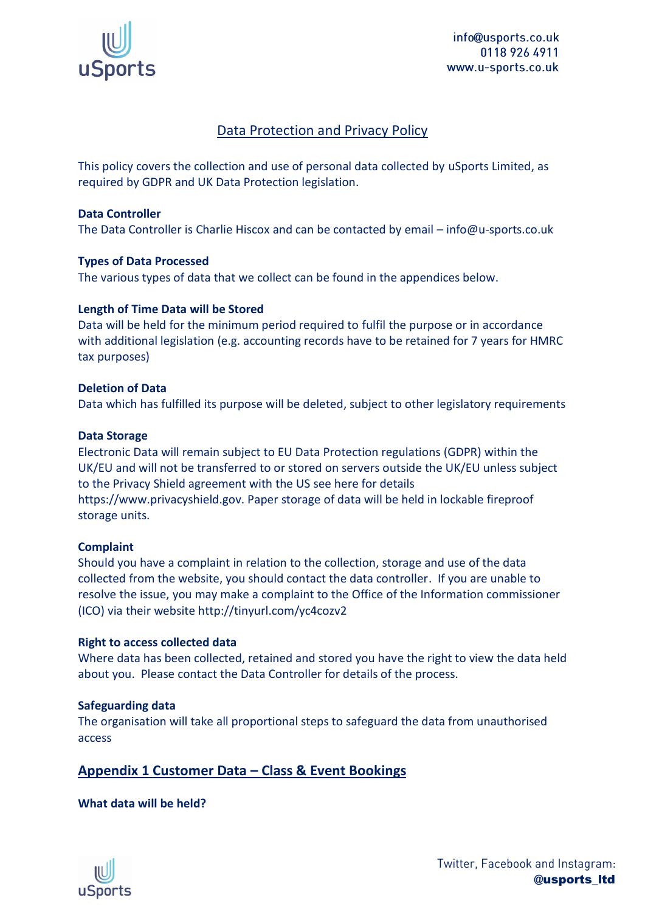

info@usports.co.uk 0118 926 4911 www.u-sports.co.uk

# Data Protection and Privacy Policy

This policy covers the collection and use of personal data collected by uSports Limited, as required by GDPR and UK Data Protection legislation.

#### **Data Controller**

The Data Controller is Charlie Hiscox and can be contacted by email – info@u-sports.co.uk

#### **Types of Data Processed**

The various types of data that we collect can be found in the appendices below.

#### **Length of Time Data will be Stored**

Data will be held for the minimum period required to fulfil the purpose or in accordance with additional legislation (e.g. accounting records have to be retained for 7 years for HMRC tax purposes)

#### **Deletion of Data**

Data which has fulfilled its purpose will be deleted, subject to other legislatory requirements

#### **Data Storage**

Electronic Data will remain subject to EU Data Protection regulations (GDPR) within the UK/EU and will not be transferred to or stored on servers outside the UK/EU unless subject to the Privacy Shield agreement with the US see here for details https://www.privacyshield.gov. Paper storage of data will be held in lockable fireproof storage units.

#### **Complaint**

Should you have a complaint in relation to the collection, storage and use of the data collected from the website, you should contact the data controller. If you are unable to resolve the issue, you may make a complaint to the Office of the Information commissioner (ICO) via their website http://tinyurl.com/yc4cozv2

#### **Right to access collected data**

Where data has been collected, retained and stored you have the right to view the data held about you. Please contact the Data Controller for details of the process.

## **Safeguarding data**

The organisation will take all proportional steps to safeguard the data from unauthorised access

# **Appendix 1 Customer Data – Class & Event Bookings**

## **What data will be held?**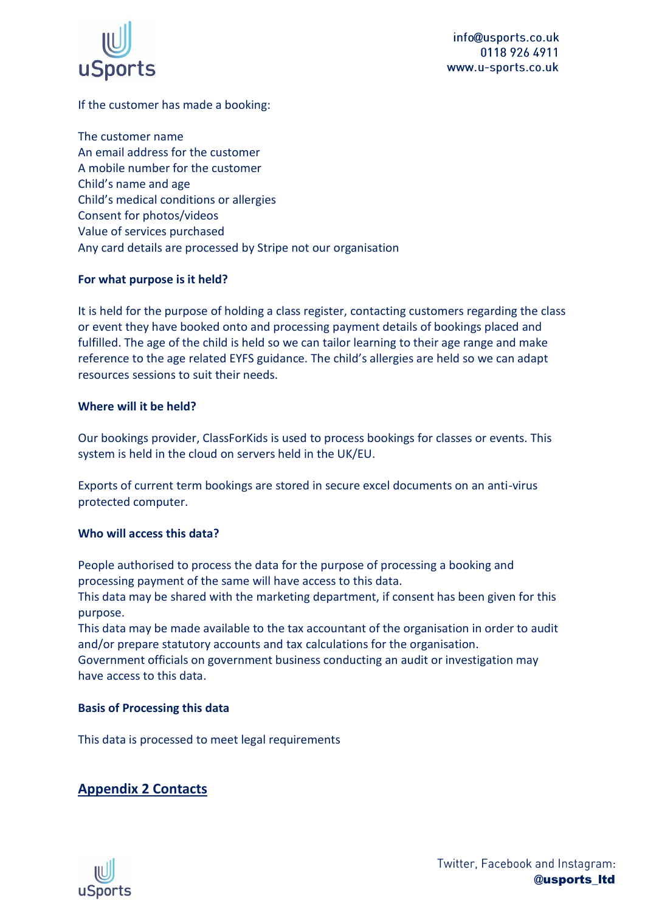

# If the customer has made a booking:

The customer name An email address for the customer A mobile number for the customer Child's name and age Child's medical conditions or allergies Consent for photos/videos Value of services purchased Any card details are processed by Stripe not our organisation

## **For what purpose is it held?**

It is held for the purpose of holding a class register, contacting customers regarding the class or event they have booked onto and processing payment details of bookings placed and fulfilled. The age of the child is held so we can tailor learning to their age range and make reference to the age related EYFS guidance. The child's allergies are held so we can adapt resources sessions to suit their needs.

## **Where will it be held?**

Our bookings provider, ClassForKids is used to process bookings for classes or events. This system is held in the cloud on servers held in the UK/EU.

Exports of current term bookings are stored in secure excel documents on an anti-virus protected computer.

## **Who will access this data?**

People authorised to process the data for the purpose of processing a booking and processing payment of the same will have access to this data.

This data may be shared with the marketing department, if consent has been given for this purpose.

This data may be made available to the tax accountant of the organisation in order to audit and/or prepare statutory accounts and tax calculations for the organisation.

Government officials on government business conducting an audit or investigation may have access to this data.

# **Basis of Processing this data**

This data is processed to meet legal requirements

# **Appendix 2 Contacts**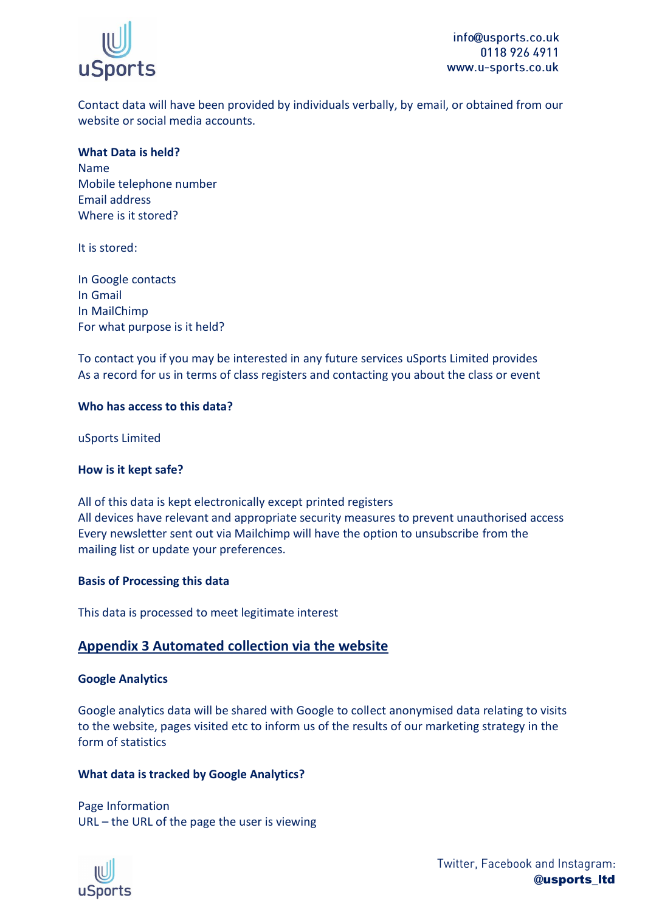

Contact data will have been provided by individuals verbally, by email, or obtained from our website or social media accounts.

# **What Data is held?**

Name Mobile telephone number Email address Where is it stored?

It is stored:

In Google contacts In Gmail In MailChimp For what purpose is it held?

To contact you if you may be interested in any future services uSports Limited provides As a record for us in terms of class registers and contacting you about the class or event

## **Who has access to this data?**

uSports Limited

## **How is it kept safe?**

All of this data is kept electronically except printed registers All devices have relevant and appropriate security measures to prevent unauthorised access Every newsletter sent out via Mailchimp will have the option to unsubscribe from the mailing list or update your preferences.

## **Basis of Processing this data**

This data is processed to meet legitimate interest

# **Appendix 3 Automated collection via the website**

## **Google Analytics**

Google analytics data will be shared with Google to collect anonymised data relating to visits to the website, pages visited etc to inform us of the results of our marketing strategy in the form of statistics

## **What data is tracked by Google Analytics?**

Page Information URL – the URL of the page the user is viewing

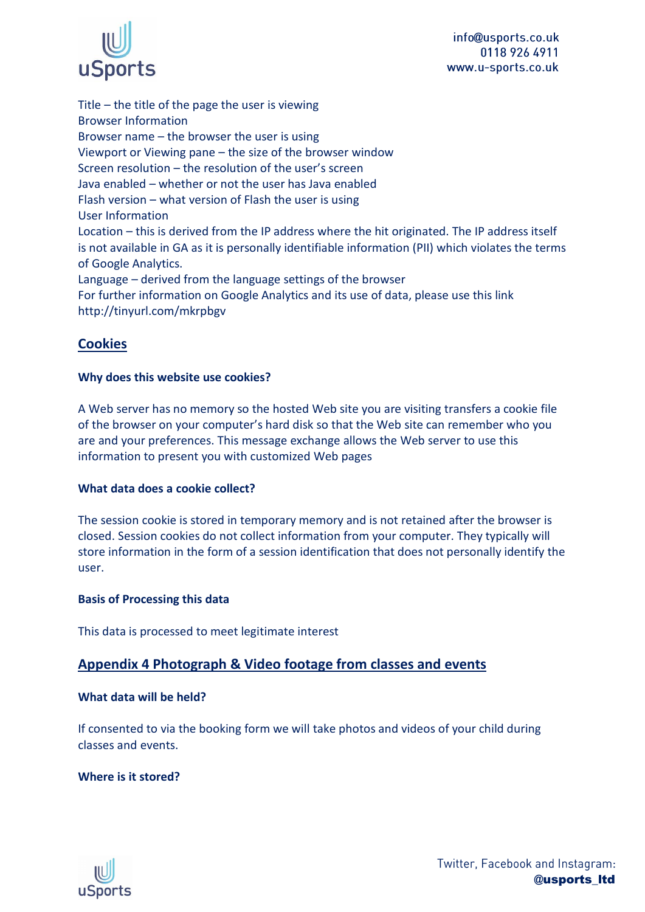

info@usports.co.uk 0118 926 4911 www.u-sports.co.uk

Title – the title of the page the user is viewing Browser Information Browser name – the browser the user is using Viewport or Viewing pane – the size of the browser window Screen resolution – the resolution of the user's screen Java enabled – whether or not the user has Java enabled Flash version – what version of Flash the user is using User Information Location – this is derived from the IP address where the hit originated. The IP address itself is not available in GA as it is personally identifiable information (PII) which violates the terms of Google Analytics. Language – derived from the language settings of the browser For further information on Google Analytics and its use of data, please use this link http://tinyurl.com/mkrpbgv

# **Cookies**

## **Why does this website use cookies?**

A Web server has no memory so the hosted Web site you are visiting transfers a cookie file of the browser on your computer's hard disk so that the Web site can remember who you are and your preferences. This message exchange allows the Web server to use this information to present you with customized Web pages

## **What data does a cookie collect?**

The session cookie is stored in temporary memory and is not retained after the browser is closed. Session cookies do not collect information from your computer. They typically will store information in the form of a session identification that does not personally identify the user.

#### **Basis of Processing this data**

This data is processed to meet legitimate interest

# **Appendix 4 Photograph & Video footage from classes and events**

#### **What data will be held?**

If consented to via the booking form we will take photos and videos of your child during classes and events.

## **Where is it stored?**